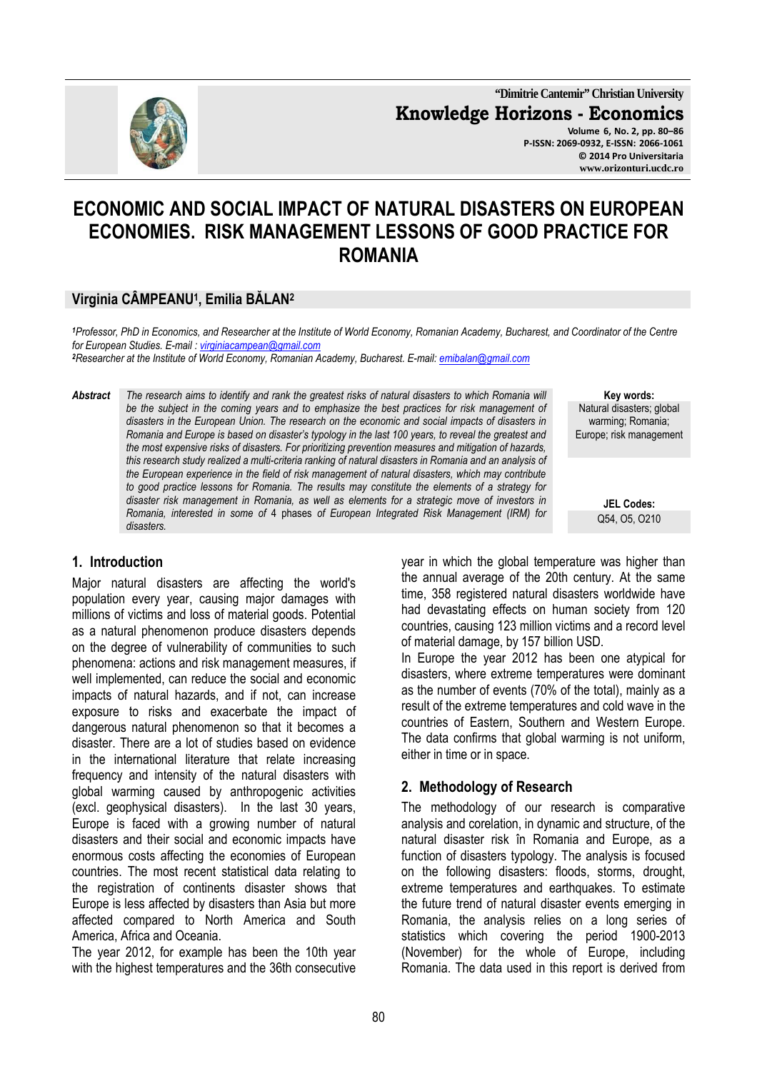

**"Dimitrie Cantemir" Christian University Knowledge Horizons - Economics Volume 6, No. 2, pp. 80–86 P-ISSN: 2069-0932, E-ISSN: 2066-1061**

**© 2014 Pro Universitaria www.orizonturi.ucdc.ro**

# **ECONOMIC AND SOCIAL IMPACT OF NATURAL DISASTERS ON EUROPEAN ECONOMIES. RISK MANAGEMENT LESSONS OF GOOD PRACTICE FOR ROMANIA**

# **Virginia CÂMPEANU<sup>1</sup> , Emilia BĂLAN<sup>2</sup>**

*<sup>1</sup>Professor, PhD in Economics, and Researcher at the Institute of World Economy, Romanian Academy, Bucharest, and Coordinator of the Centre for European Studies. E-mail : virginiacampean@gmail.com* 

*<sup>2</sup>Researcher at the Institute of World Economy, Romanian Academy, Bucharest. E-mail: emibalan@gmail.com* 

*Abstract The research aims to identify and rank the greatest risks of natural disasters to which Romania will be the subject in the coming years and to emphasize the best practices for risk management of disasters in the European Union. The research on the economic and social impacts of disasters in Romania and Europe is based on disaster's typology in the last 100 years, to reveal the greatest and the most expensive risks of disasters. For prioritizing prevention measures and mitigation of hazards, this research study realized a multi-criteria ranking of natural disasters in Romania and an analysis of the European experience in the field of risk management of natural disasters, which may contribute to good practice lessons for Romania. The results may constitute the elements of a strategy for disaster risk management in Romania, as well as elements for a strategic move of investors in Romania, interested in some of* 4 phases *of European Integrated Risk Management (IRM) for disasters.* 

**Key words:** Natural disasters; global warming; Romania; Europe; risk management

> **JEL Codes:** Q54, O5, O210

# **1. Introduction**

Major natural disasters are affecting the world's population every year, causing major damages with millions of victims and loss of material goods. Potential as a natural phenomenon produce disasters depends on the degree of vulnerability of communities to such phenomena: actions and risk management measures, if well implemented, can reduce the social and economic impacts of natural hazards, and if not, can increase exposure to risks and exacerbate the impact of dangerous natural phenomenon so that it becomes a disaster. There are a lot of studies based on evidence in the international literature that relate increasing frequency and intensity of the natural disasters with global warming caused by anthropogenic activities (excl. geophysical disasters). In the last 30 years, Europe is faced with a growing number of natural disasters and their social and economic impacts have enormous costs affecting the economies of European countries. The most recent statistical data relating to the registration of continents disaster shows that Europe is less affected by disasters than Asia but more affected compared to North America and South America, Africa and Oceania.

The year 2012, for example has been the 10th year with the highest temperatures and the 36th consecutive year in which the global temperature was higher than the annual average of the 20th century. At the same time, 358 registered natural disasters worldwide have had devastating effects on human society from 120 countries, causing 123 million victims and a record level of material damage, by 157 billion USD.

In Europe the year 2012 has been one atypical for disasters, where extreme temperatures were dominant as the number of events (70% of the total), mainly as a result of the extreme temperatures and cold wave in the countries of Eastern, Southern and Western Europe. The data confirms that global warming is not uniform, either in time or in space.

# **2. Methodology of Research**

The methodology of our research is comparative analysis and corelation, in dynamic and structure, of the natural disaster risk în Romania and Europe, as a function of disasters typology. The analysis is focused on the following disasters: floods, storms, drought, extreme temperatures and earthquakes. To estimate the future trend of natural disaster events emerging in Romania, the analysis relies on a long series of statistics which covering the period 1900-2013 (November) for the whole of Europe, including Romania. The data used in this report is derived from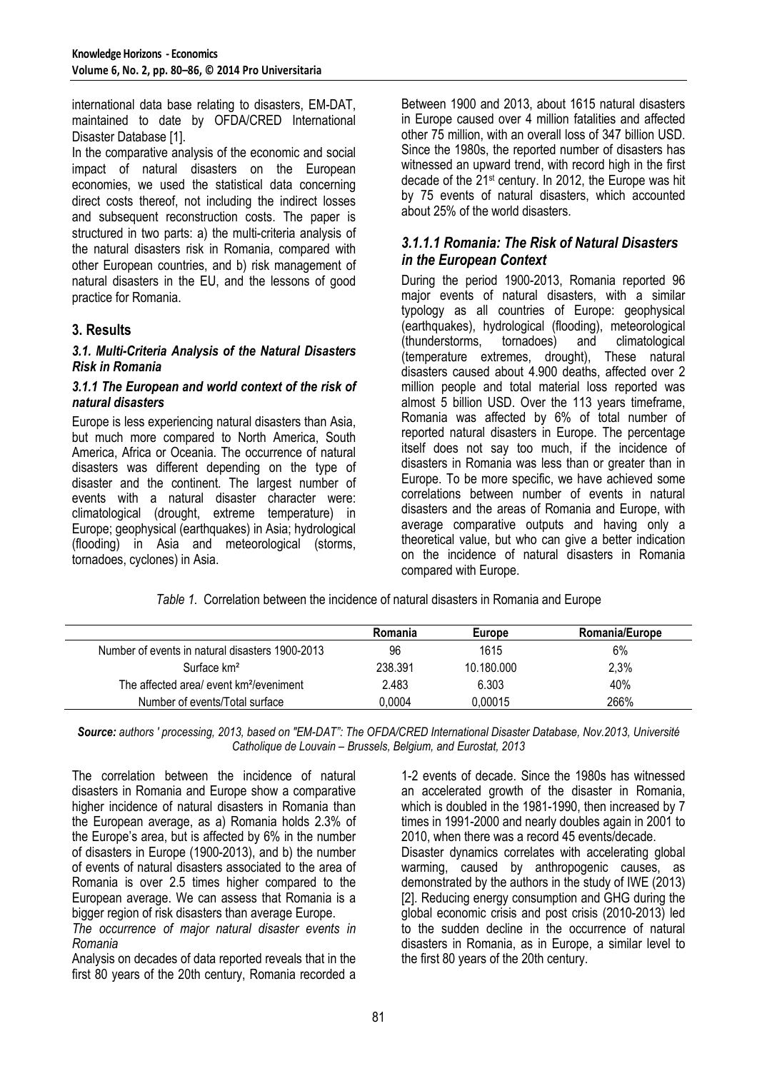international data base relating to disasters, EM-DAT, maintained to date by OFDA/CRED International Disaster Database [1].

In the comparative analysis of the economic and social impact of natural disasters on the European economies, we used the statistical data concerning direct costs thereof, not including the indirect losses and subsequent reconstruction costs. The paper is structured in two parts: a) the multi-criteria analysis of the natural disasters risk in Romania, compared with other European countries, and b) risk management of natural disasters in the EU, and the lessons of good practice for Romania.

# **3. Results**

#### *3.1. Multi-Criteria Analysis of the Natural Disasters Risk in Romania*

#### *3.1.1 The European and world context of the risk of natural disasters*

Europe is less experiencing natural disasters than Asia, but much more compared to North America, South America, Africa or Oceania. The occurrence of natural disasters was different depending on the type of disaster and the continent. The largest number of events with a natural disaster character were: climatological (drought, extreme temperature) in Europe; geophysical (earthquakes) in Asia; hydrological (flooding) in Asia and meteorological (storms, tornadoes, cyclones) in Asia.

Between 1900 and 2013, about 1615 natural disasters in Europe caused over 4 million fatalities and affected other 75 million, with an overall loss of 347 billion USD. Since the 1980s, the reported number of disasters has witnessed an upward trend, with record high in the first decade of the 21st century. In 2012, the Europe was hit by 75 events of natural disasters, which accounted about 25% of the world disasters.

## *3.1.1.1 Romania: The Risk of Natural Disasters in the European Context*

During the period 1900-2013, Romania reported 96 major events of natural disasters, with a similar typology as all countries of Europe: geophysical (earthquakes), hydrological (flooding), meteorological tornadoes) and (temperature extremes, drought), These natural disasters caused about 4.900 deaths, affected over 2 million people and total material loss reported was almost 5 billion USD. Over the 113 years timeframe, Romania was affected by 6% of total number of reported natural disasters in Europe. The percentage itself does not say too much, if the incidence of disasters in Romania was less than or greater than in Europe. To be more specific, we have achieved some correlations between number of events in natural disasters and the areas of Romania and Europe, with average comparative outputs and having only a theoretical value, but who can give a better indication on the incidence of natural disasters in Romania compared with Europe.

*Table 1.* Correlation between the incidence of natural disasters in Romania and Europe

|                                                     | Romania | Europe     | <b>Romania/Europe</b> |
|-----------------------------------------------------|---------|------------|-----------------------|
| Number of events in natural disasters 1900-2013     | 96      | 1615       | 6%                    |
| Surface km <sup>2</sup>                             | 238.391 | 10.180.000 | 2,3%                  |
| The affected area/ event km <sup>2</sup> /eveniment | 2.483   | 6.303      | 40%                   |
| Number of events/Total surface                      | 0.0004  | 0.00015    | 266%                  |

*Source: authors ' processing, 2013, based on "EM-DAT": The OFDA/CRED International Disaster Database, Nov.2013, Université Catholique de Louvain – Brussels, Belgium, and Eurostat, 2013* 

The correlation between the incidence of natural disasters in Romania and Europe show a comparative higher incidence of natural disasters in Romania than the European average, as a) Romania holds 2.3% of the Europe's area, but is affected by 6% in the number of disasters in Europe (1900-2013), and b) the number of events of natural disasters associated to the area of Romania is over 2.5 times higher compared to the European average. We can assess that Romania is a bigger region of risk disasters than average Europe.

*The occurrence of major natural disaster events in Romania* 

Analysis on decades of data reported reveals that in the first 80 years of the 20th century, Romania recorded a

1-2 events of decade. Since the 1980s has witnessed an accelerated growth of the disaster in Romania, which is doubled in the 1981-1990, then increased by 7 times in 1991-2000 and nearly doubles again in 2001 to 2010, when there was a record 45 events/decade. Disaster dynamics correlates with accelerating global warming, caused by anthropogenic causes, as demonstrated by the authors in the study of IWE (2013) [2]. Reducing energy consumption and GHG during the global economic crisis and post crisis (2010-2013) led to the sudden decline in the occurrence of natural disasters in Romania, as in Europe, a similar level to the first 80 years of the 20th century.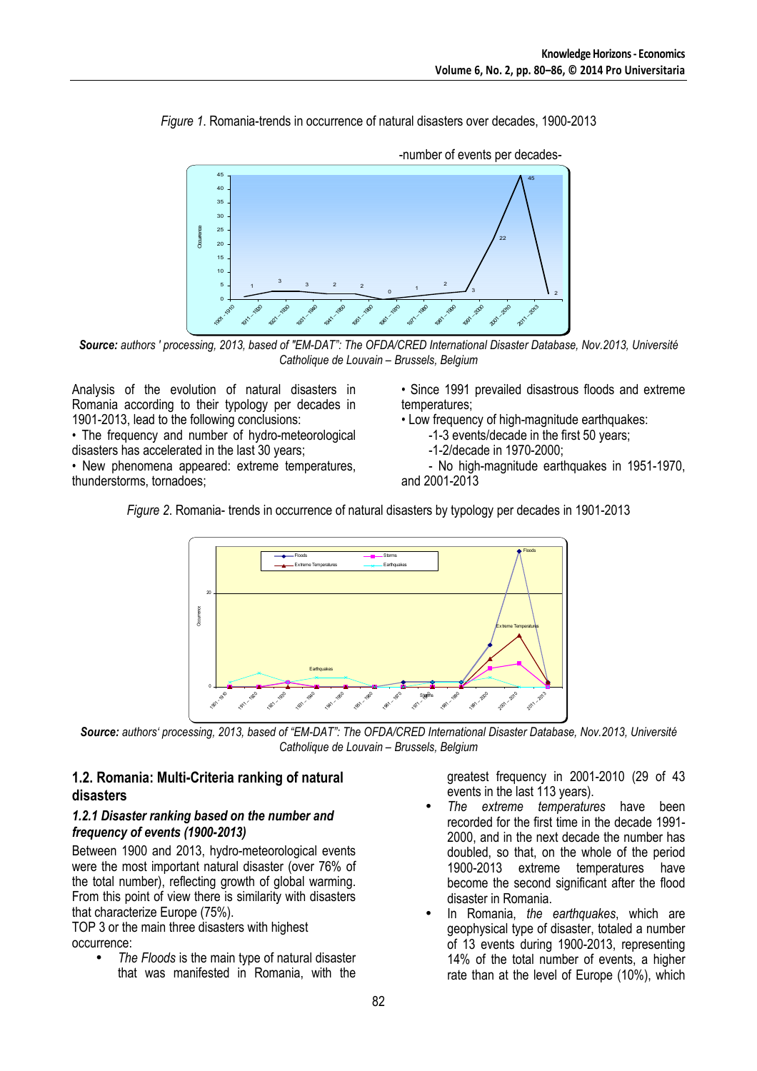*Figure 1*. Romania-trends in occurrence of natural disasters over decades, 1900-2013



-number of events per decades-

*Source: authors ' processing, 2013, based of "EM-DAT": The OFDA/CRED International Disaster Database, Nov.2013, Université Catholique de Louvain – Brussels, Belgium* 

Analysis of the evolution of natural disasters in Romania according to their typology per decades in 1901-2013, lead to the following conclusions:

• The frequency and number of hydro-meteorological disasters has accelerated in the last 30 years;

• New phenomena appeared: extreme temperatures, thunderstorms, tornadoes;

• Since 1991 prevailed disastrous floods and extreme temperatures;

• Low frequency of high-magnitude earthquakes:

- -1-3 events/decade in the first 50 years;
- -1-2/decade in 1970-2000;

- No high-magnitude earthquakes in 1951-1970, and 2001-2013

*Figure 2*. Romania- trends in occurrence of natural disasters by typology per decades in 1901-2013



*Source: authors' processing, 2013, based of "EM-DAT": The OFDA/CRED International Disaster Database, Nov.2013, Université Catholique de Louvain – Brussels, Belgium* 

## **1.2. Romania: Multi-Criteria ranking of natural disasters**

#### *1.2.1 Disaster ranking based on the number and frequency of events (1900-2013)*

Between 1900 and 2013, hydro-meteorological events were the most important natural disaster (over 76% of the total number), reflecting growth of global warming. From this point of view there is similarity with disasters that characterize Europe (75%).

TOP 3 or the main three disasters with highest occurrence:

• *The Floods* is the main type of natural disaster that was manifested in Romania, with the greatest frequency in 2001-2010 (29 of 43 events in the last 113 years).

- *The extreme temperatures* have been recorded for the first time in the decade 1991- 2000, and in the next decade the number has doubled, so that, on the whole of the period 1900-2013 extreme temperatures have become the second significant after the flood disaster in Romania.
- In Romania, *the earthquakes*, which are geophysical type of disaster, totaled a number of 13 events during 1900-2013, representing 14% of the total number of events, a higher rate than at the level of Europe (10%), which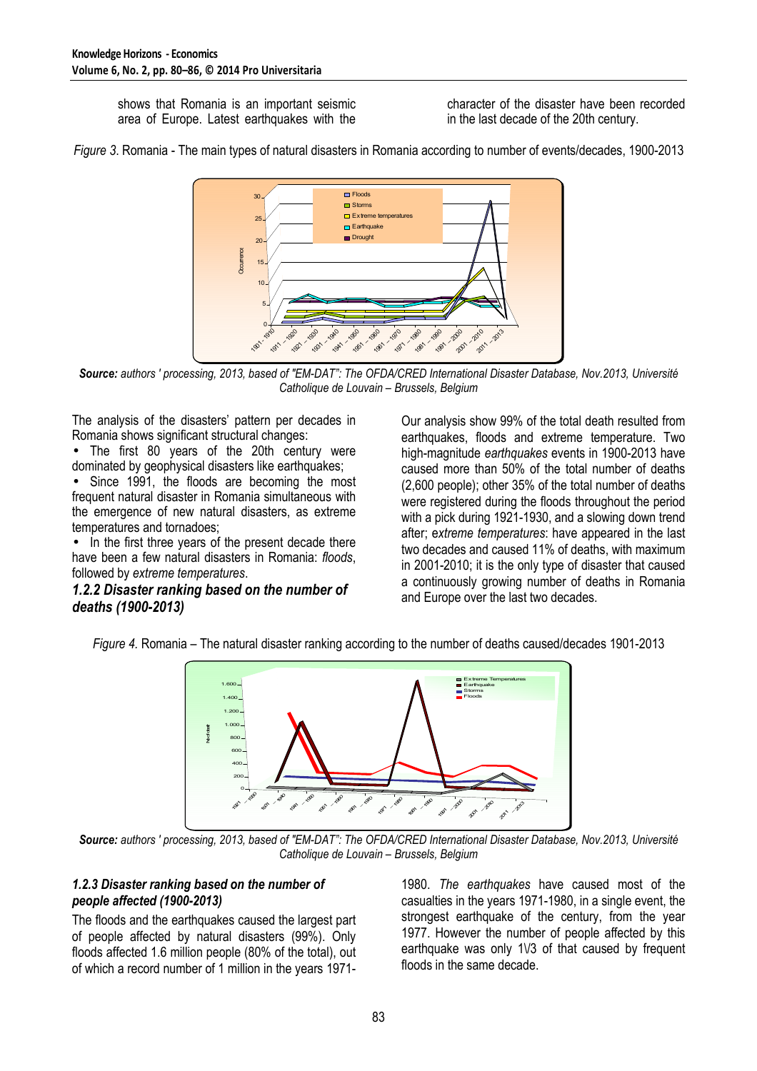shows that Romania is an important seismic area of Europe. Latest earthquakes with the character of the disaster have been recorded in the last decade of the 20th century.





*Source: authors ' processing, 2013, based of "EM-DAT": The OFDA/CRED International Disaster Database, Nov.2013, Université Catholique de Louvain – Brussels, Belgium* 

The analysis of the disasters' pattern per decades in Romania shows significant structural changes:

• The first 80 years of the 20th century were dominated by geophysical disasters like earthquakes;

• Since 1991, the floods are becoming the most frequent natural disaster in Romania simultaneous with the emergence of new natural disasters, as extreme temperatures and tornadoes;

• In the first three years of the present decade there have been a few natural disasters in Romania: *floods*, followed by *extreme temperatures*.

#### *1.2.2 Disaster ranking based on the number of deaths (1900-2013)*

Our analysis show 99% of the total death resulted from earthquakes, floods and extreme temperature. Two high-magnitude *earthquakes* events in 1900-2013 have caused more than 50% of the total number of deaths (2,600 people); other 35% of the total number of deaths were registered during the floods throughout the period with a pick during 1921-1930, and a slowing down trend after; e*xtreme temperatures*: have appeared in the last two decades and caused 11% of deaths, with maximum in 2001-2010; it is the only type of disaster that caused a continuously growing number of deaths in Romania and Europe over the last two decades.

*Figure 4.* Romania – The natural disaster ranking according to the number of deaths caused/decades 1901-2013



*Source: authors ' processing, 2013, based of "EM-DAT": The OFDA/CRED International Disaster Database, Nov.2013, Université Catholique de Louvain – Brussels, Belgium* 

#### *1.2.3 Disaster ranking based on the number of people affected (1900-2013)*

The floods and the earthquakes caused the largest part of people affected by natural disasters (99%). Only floods affected 1.6 million people (80% of the total), out of which a record number of 1 million in the years 19711980. *The earthquakes* have caused most of the casualties in the years 1971-1980, in a single event, the strongest earthquake of the century, from the year 1977. However the number of people affected by this earthquake was only 1V3 of that caused by frequent floods in the same decade.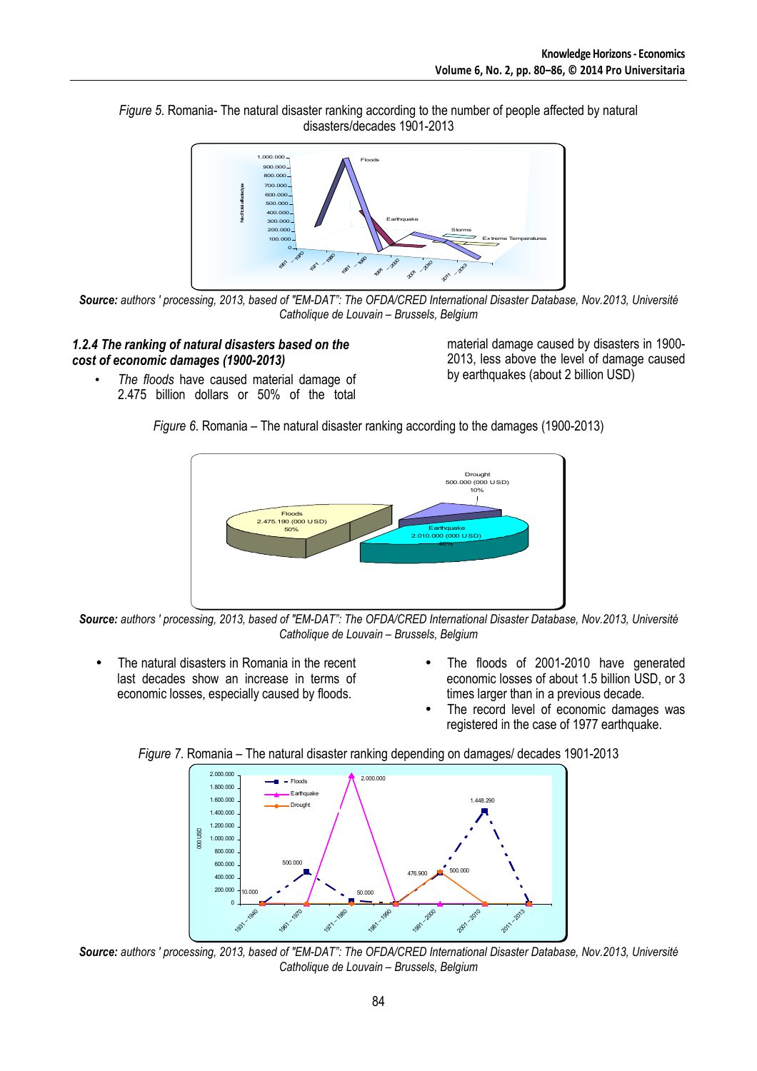



*Source: authors ' processing, 2013, based of "EM-DAT": The OFDA/CRED International Disaster Database, Nov.2013, Université Catholique de Louvain – Brussels, Belgium* 

#### *1.2.4 The ranking of natural disasters based on the cost of economic damages (1900-2013)*

• *The floods* have caused material damage of 2.475 billion dollars or 50% of the total

material damage caused by disasters in 1900- 2013, less above the level of damage caused by earthquakes (about 2 billion USD)

*Figure 6*. Romania – The natural disaster ranking according to the damages (1900-2013)



*Source: authors ' processing, 2013, based of "EM-DAT": The OFDA/CRED International Disaster Database, Nov.2013, Université Catholique de Louvain – Brussels, Belgium* 

- The natural disasters in Romania in the recent last decades show an increase in terms of economic losses, especially caused by floods.
- The floods of 2001-2010 have generated economic losses of about 1.5 billion USD, or 3 times larger than in a previous decade.
- The record level of economic damages was registered in the case of 1977 earthquake.

*Figure 7*. Romania – The natural disaster ranking depending on damages/ decades 1901-2013



*Source: authors ' processing, 2013, based of "EM-DAT": The OFDA/CRED International Disaster Database, Nov.2013, Université Catholique de Louvain – Brussels, Belgium*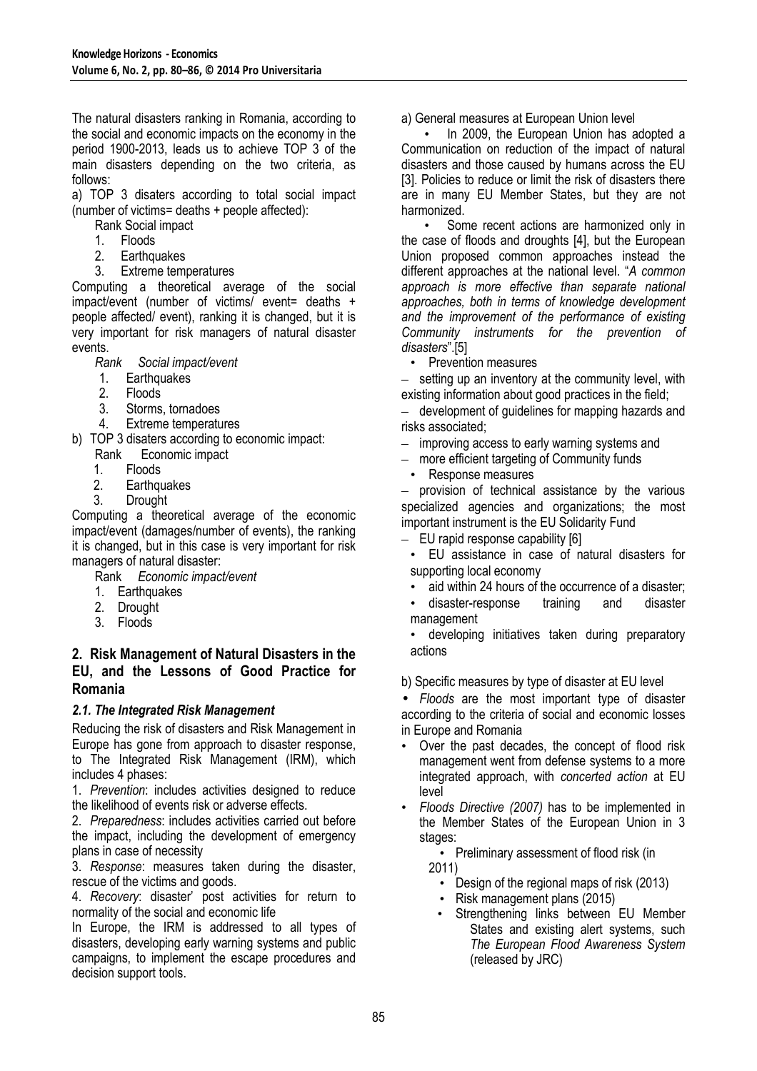The natural disasters ranking in Romania, according to the social and economic impacts on the economy in the period 1900-2013, leads us to achieve TOP 3 of the main disasters depending on the two criteria, as follows:

a) TOP 3 disaters according to total social impact (number of victims= deaths + people affected):

- Rank Social impact
- 1. Floods
- 2. Earthquakes
- 3. Extreme temperatures

Computing a theoretical average of the social impact/event (number of victims/ event= deaths + people affected/ event), ranking it is changed, but it is very important for risk managers of natural disaster events.

*Rank Social impact/event* 

- 1. Earthquakes
- 2. Floods
- 3. Storms, tornadoes
- 4. Extreme temperatures

b) TOP 3 disaters according to economic impact: Rank Economic impact

- 
- 1. Floods<br>2. Earthou **Earthquakes**
- 3. Drought

Computing a theoretical average of the economic impact/event (damages/number of events), the ranking it is changed, but in this case is very important for risk managers of natural disaster:

Rank *Economic impact/event* 

- 1. Earthquakes
- 2. Drought
- 3. Floods

#### **2. Risk Management of Natural Disasters in the EU, and the Lessons of Good Practice for Romania**

#### *2.1. The Integrated Risk Management*

Reducing the risk of disasters and Risk Management in Europe has gone from approach to disaster response, to The Integrated Risk Management (IRM), which includes 4 phases:

1. *Prevention*: includes activities designed to reduce the likelihood of events risk or adverse effects.

2. *Preparedness*: includes activities carried out before the impact, including the development of emergency plans in case of necessity

3. *Response*: measures taken during the disaster, rescue of the victims and goods.

4. *Recovery*: disaster' post activities for return to normality of the social and economic life

In Europe, the IRM is addressed to all types of disasters, developing early warning systems and public campaigns, to implement the escape procedures and decision support tools.

a) General measures at European Union level

• In 2009, the European Union has adopted a Communication on reduction of the impact of natural disasters and those caused by humans across the EU [3]. Policies to reduce or limit the risk of disasters there are in many EU Member States, but they are not harmonized.

• Some recent actions are harmonized only in the case of floods and droughts [4], but the European Union proposed common approaches instead the different approaches at the national level. "*A common approach is more effective than separate national approaches, both in terms of knowledge development and the improvement of the performance of existing Community instruments for the prevention of disasters*".[5]

• Prevention measures

setting up an inventory at the community level, with existing information about good practices in the field;

– development of guidelines for mapping hazards and risks associated;

- improving access to early warning systems and
- more efficient targeting of Community funds
	- Response measures

– provision of technical assistance by the various specialized agencies and organizations; the most important instrument is the EU Solidarity Fund

– EU rapid response capability [6]

- EU assistance in case of natural disasters for supporting local economy
- aid within 24 hours of the occurrence of a disaster; • disaster-response training and disaster
- management
- developing initiatives taken during preparatory actions
- b) Specific measures by type of disaster at EU level

• *Floods* are the most important type of disaster according to the criteria of social and economic losses in Europe and Romania

- Over the past decades, the concept of flood risk management went from defense systems to a more integrated approach, with *concerted action* at EU level
- *Floods Directive (2007)* has to be implemented in the Member States of the European Union in 3 stages:

• Preliminary assessment of flood risk (in 2011)

- Design of the regional maps of risk (2013)
- Risk management plans (2015)
- Strengthening links between EU Member States and existing alert systems, such *The European Flood Awareness System* (released by JRC)